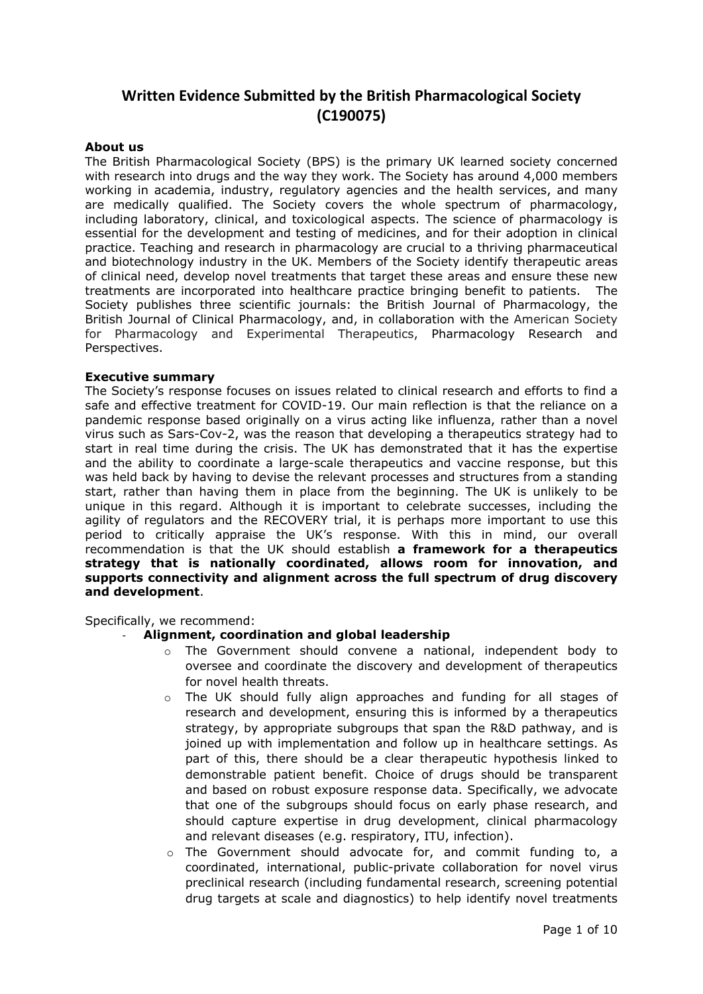# **Written Evidence Submitted by the British Pharmacological Society (C190075)**

## **About us**

The British Pharmacological Society (BPS) is the primary UK learned society concerned with research into drugs and the way they work. The Society has around 4,000 members working in academia, industry, regulatory agencies and the health services, and many are medically qualified. The Society covers the whole spectrum of pharmacology, including laboratory, clinical, and toxicological aspects. The science of pharmacology is essential for the development and testing of medicines, and for their adoption in clinical practice. Teaching and research in pharmacology are crucial to a thriving pharmaceutical and biotechnology industry in the UK. Members of the Society identify therapeutic areas of clinical need, develop novel treatments that target these areas and ensure these new treatments are incorporated into healthcare practice bringing benefit to patients. The Society publishes three scientific journals: the British Journal of Pharmacology, the British Journal of Clinical Pharmacology, and, in collaboration with the American Society for Pharmacology and Experimental Therapeutics, Pharmacology Research and Perspectives.

#### **Executive summary**

The Society's response focuses on issues related to clinical research and efforts to find a safe and effective treatment for COVID-19. Our main reflection is that the reliance on a pandemic response based originally on a virus acting like influenza, rather than a novel virus such as Sars-Cov-2, was the reason that developing a therapeutics strategy had to start in real time during the crisis. The UK has demonstrated that it has the expertise and the ability to coordinate a large-scale therapeutics and vaccine response, but this was held back by having to devise the relevant processes and structures from a standing start, rather than having them in place from the beginning. The UK is unlikely to be unique in this regard. Although it is important to celebrate successes, including the agility of regulators and the RECOVERY trial, it is perhaps more important to use this period to critically appraise the UK's response. With this in mind, our overall recommendation is that the UK should establish **a framework for a therapeutics strategy that is nationally coordinated, allows room for innovation, and supports connectivity and alignment across the full spectrum of drug discovery and development**.

Specifically, we recommend:

## - **Alignment, coordination and global leadership**

- o The Government should convene a national, independent body to oversee and coordinate the discovery and development of therapeutics for novel health threats.
- $\circ$  The UK should fully align approaches and funding for all stages of research and development, ensuring this is informed by a therapeutics strategy, by appropriate subgroups that span the R&D pathway, and is joined up with implementation and follow up in healthcare settings. As part of this, there should be a clear therapeutic hypothesis linked to demonstrable patient benefit. Choice of drugs should be transparent and based on robust exposure response data. Specifically, we advocate that one of the subgroups should focus on early phase research, and should capture expertise in drug development, clinical pharmacology and relevant diseases (e.g. respiratory, ITU, infection).
- $\circ$  The Government should advocate for, and commit funding to, a coordinated, international, public-private collaboration for novel virus preclinical research (including fundamental research, screening potential drug targets at scale and diagnostics) to help identify novel treatments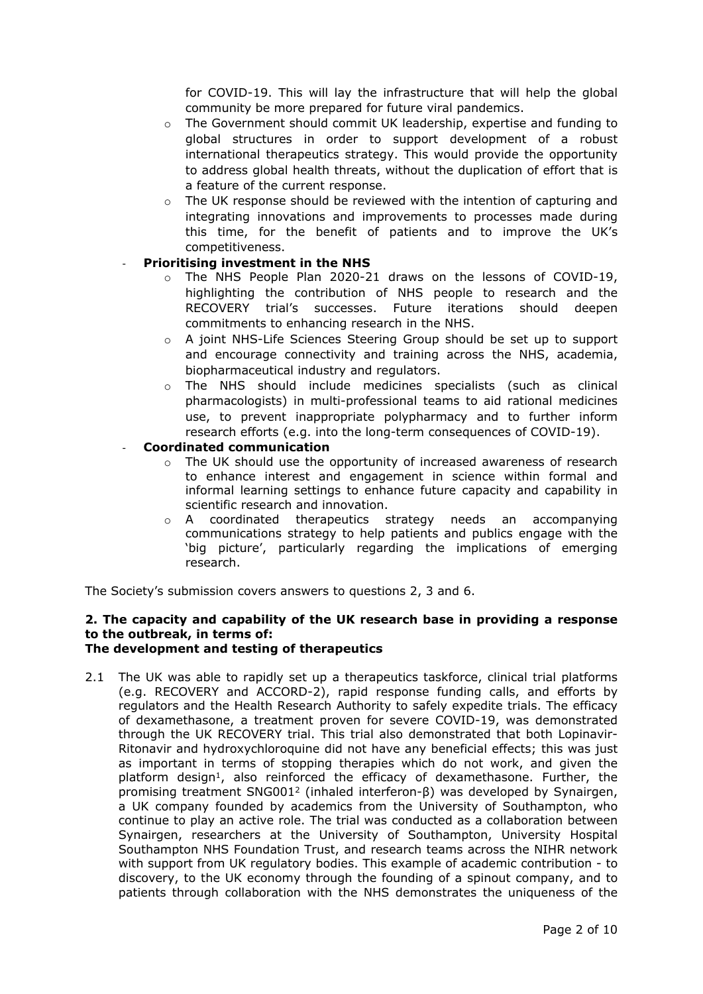for COVID-19. This will lay the infrastructure that will help the global community be more prepared for future viral pandemics.

- $\circ$  The Government should commit UK leadership, expertise and funding to global structures in order to support development of a robust international therapeutics strategy. This would provide the opportunity to address global health threats, without the duplication of effort that is a feature of the current response.
- $\circ$  The UK response should be reviewed with the intention of capturing and integrating innovations and improvements to processes made during this time, for the benefit of patients and to improve the UK's competitiveness.

# - **Prioritising investment in the NHS**

- o The NHS People Plan 2020-21 draws on the lessons of COVID-19, highlighting the contribution of NHS people to research and the RECOVERY trial's successes. Future iterations should deepen commitments to enhancing research in the NHS.
- o A joint NHS-Life Sciences Steering Group should be set up to support and encourage connectivity and training across the NHS, academia, biopharmaceutical industry and regulators.
- o The NHS should include medicines specialists (such as clinical pharmacologists) in multi-professional teams to aid rational medicines use, to prevent inappropriate polypharmacy and to further inform research efforts (e.g. into the long-term consequences of COVID-19).

# - **Coordinated communication**

- o The UK should use the opportunity of increased awareness of research to enhance interest and engagement in science within formal and informal learning settings to enhance future capacity and capability in scientific research and innovation.
- o A coordinated therapeutics strategy needs an accompanying communications strategy to help patients and publics engage with the 'big picture', particularly regarding the implications of emerging research.

The Society's submission covers answers to questions 2, 3 and 6.

# **2. The capacity and capability of the UK research base in providing a response to the outbreak, in terms of:**

## **The development and testing of therapeutics**

2.1 The UK was able to rapidly set up a therapeutics taskforce, clinical trial platforms (e.g. RECOVERY and ACCORD-2), rapid response funding calls, and efforts by regulators and the Health Research Authority to safely expedite trials. The efficacy of dexamethasone, a treatment proven for severe COVID-19, was demonstrated through the UK RECOVERY trial. This trial also demonstrated that both Lopinavir-Ritonavir and hydroxychloroquine did not have any beneficial effects; this was just as important in terms of stopping therapies which do not work, and given the platform design<sup>1</sup>, also reinforced the efficacy of dexamethasone. Further, the promising treatment SNG001<sup>2</sup> (inhaled interferon-β) was developed by Synairgen, a UK company founded by academics from the University of Southampton, who continue to play an active role. The trial was conducted as a collaboration between Synairgen, researchers at the University of Southampton, University Hospital Southampton NHS Foundation Trust, and research teams across the NIHR network with support from UK regulatory bodies. This example of academic contribution - to discovery, to the UK economy through the founding of a spinout company, and to patients through collaboration with the NHS demonstrates the uniqueness of the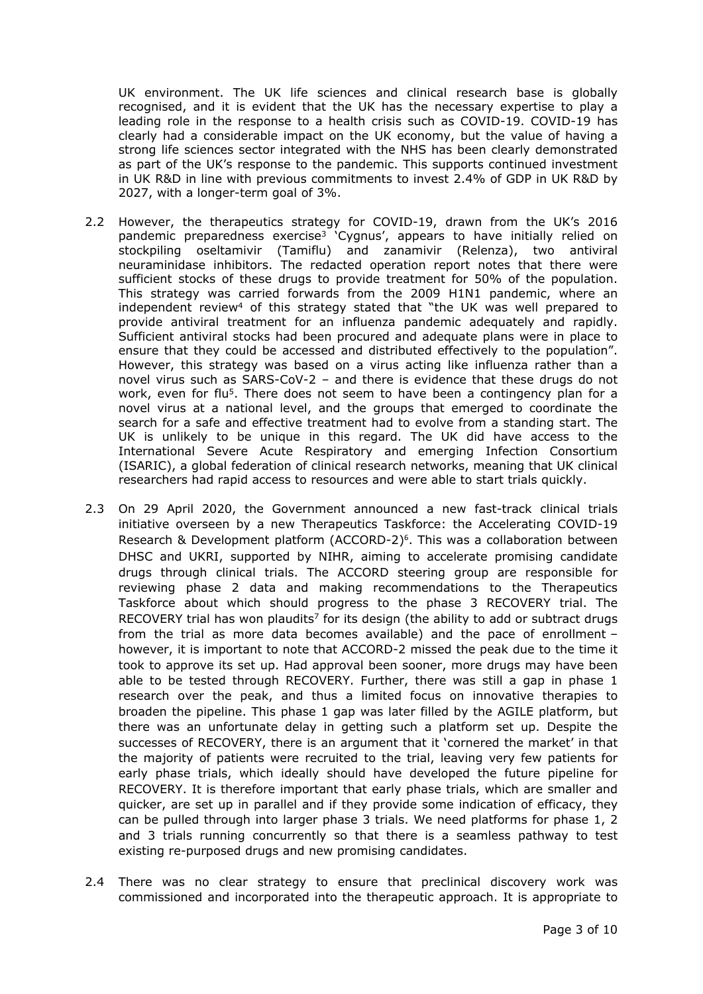UK environment. The UK life sciences and clinical research base is globally recognised, and it is evident that the UK has the necessary expertise to play a leading role in the response to a health crisis such as COVID-19. COVID-19 has clearly had a considerable impact on the UK economy, but the value of having a strong life sciences sector integrated with the NHS has been clearly demonstrated as part of the UK's response to the pandemic. This supports continued investment in UK R&D in line with previous commitments to invest 2.4% of GDP in UK R&D by 2027, with a longer-term goal of 3%.

- 2.2 However, the therapeutics strategy for COVID-19, drawn from the UK's 2016 pandemic preparedness exercise<sup>3</sup> 'Cygnus', appears to have initially relied on stockpiling oseltamivir (Tamiflu) and zanamivir (Relenza), two antiviral neuraminidase inhibitors. The redacted operation report notes that there were sufficient stocks of these drugs to provide treatment for 50% of the population. This strategy was carried forwards from the 2009 H1N1 pandemic, where an independent review<sup>4</sup> of this strategy stated that "the UK was well prepared to provide antiviral treatment for an influenza pandemic adequately and rapidly. Sufficient antiviral stocks had been procured and adequate plans were in place to ensure that they could be accessed and distributed effectively to the population". However, this strategy was based on a virus acting like influenza rather than a novel virus such as SARS-CoV-2 – and there is evidence that these drugs do not work, even for flu<sup>5</sup>. There does not seem to have been a contingency plan for a novel virus at a national level, and the groups that emerged to coordinate the search for a safe and effective treatment had to evolve from a standing start. The UK is unlikely to be unique in this regard. The UK did have access to the International Severe Acute Respiratory and emerging Infection Consortium (ISARIC), a global federation of clinical research networks, meaning that UK clinical researchers had rapid access to resources and were able to start trials quickly.
- 2.3 On 29 April 2020, the Government announced a new fast-track clinical trials initiative overseen by a new Therapeutics Taskforce: the Accelerating COVID-19 Research & Development platform (ACCORD-2)<sup>6</sup>. This was a collaboration between DHSC and UKRI, supported by NIHR, aiming to accelerate promising candidate drugs through clinical trials. The ACCORD steering group are responsible for reviewing phase 2 data and making recommendations to the Therapeutics Taskforce about which should progress to the phase 3 RECOVERY trial. The RECOVERY trial has won plaudits<sup>7</sup> for its design (the ability to add or subtract drugs from the trial as more data becomes available) and the pace of enrollment – however, it is important to note that ACCORD-2 missed the peak due to the time it took to approve its set up. Had approval been sooner, more drugs may have been able to be tested through RECOVERY. Further, there was still a gap in phase 1 research over the peak, and thus a limited focus on innovative therapies to broaden the pipeline. This phase 1 gap was later filled by the AGILE platform, but there was an unfortunate delay in getting such a platform set up. Despite the successes of RECOVERY, there is an argument that it 'cornered the market' in that the majority of patients were recruited to the trial, leaving very few patients for early phase trials, which ideally should have developed the future pipeline for RECOVERY. It is therefore important that early phase trials, which are smaller and quicker, are set up in parallel and if they provide some indication of efficacy, they can be pulled through into larger phase 3 trials. We need platforms for phase 1, 2 and 3 trials running concurrently so that there is a seamless pathway to test existing re-purposed drugs and new promising candidates.
- 2.4 There was no clear strategy to ensure that preclinical discovery work was commissioned and incorporated into the therapeutic approach. It is appropriate to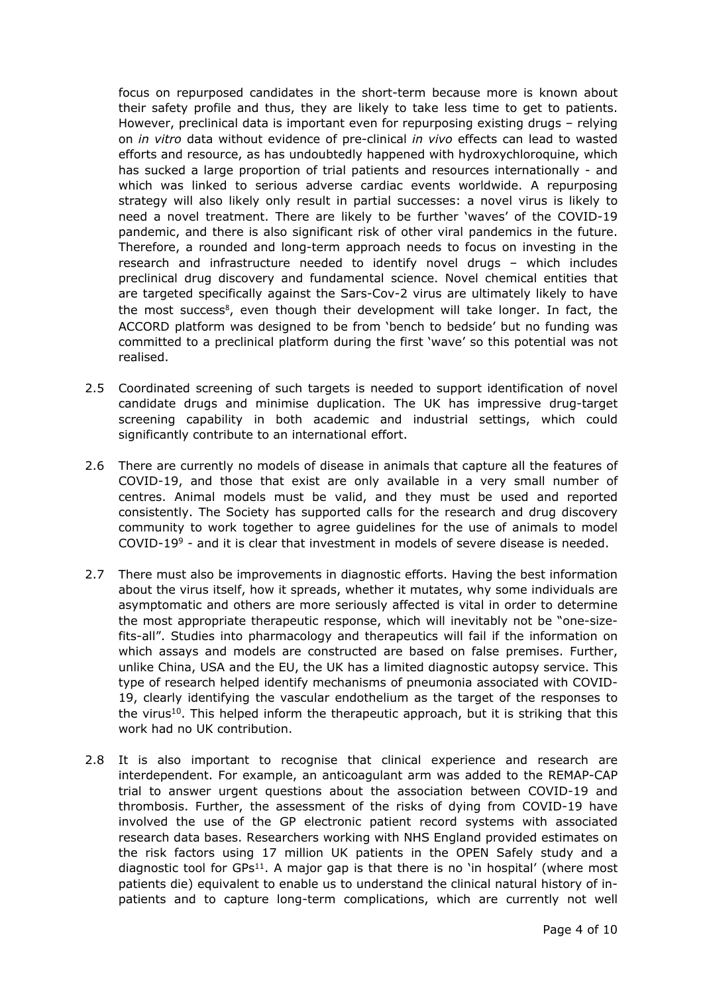focus on repurposed candidates in the short-term because more is known about their safety profile and thus, they are likely to take less time to get to patients. However, preclinical data is important even for repurposing existing drugs – relying on *in vitro* data without evidence of pre-clinical *in vivo* effects can lead to wasted efforts and resource, as has undoubtedly happened with hydroxychloroquine, which has sucked a large proportion of trial patients and resources internationally - and which was linked to serious adverse cardiac events worldwide. A repurposing strategy will also likely only result in partial successes: a novel virus is likely to need a novel treatment. There are likely to be further 'waves' of the COVID-19 pandemic, and there is also significant risk of other viral pandemics in the future. Therefore, a rounded and long-term approach needs to focus on investing in the research and infrastructure needed to identify novel drugs – which includes preclinical drug discovery and fundamental science. Novel chemical entities that are targeted specifically against the Sars-Cov-2 virus are ultimately likely to have the most success<sup>8</sup>, even though their development will take longer. In fact, the ACCORD platform was designed to be from 'bench to bedside' but no funding was committed to a preclinical platform during the first 'wave' so this potential was not realised.

- 2.5 Coordinated screening of such targets is needed to support identification of novel candidate drugs and minimise duplication. The UK has impressive drug-target screening capability in both academic and industrial settings, which could significantly contribute to an international effort.
- 2.6 There are currently no models of disease in animals that capture all the features of COVID-19, and those that exist are only available in a very small number of centres. Animal models must be valid, and they must be used and reported consistently. The Society has supported calls for the research and drug discovery community to work together to agree guidelines for the use of animals to model COVID-19 $9$  - and it is clear that investment in models of severe disease is needed.
- 2.7 There must also be improvements in diagnostic efforts. Having the best information about the virus itself, how it spreads, whether it mutates, why some individuals are asymptomatic and others are more seriously affected is vital in order to determine the most appropriate therapeutic response, which will inevitably not be "one-sizefits-all". Studies into pharmacology and therapeutics will fail if the information on which assays and models are constructed are based on false premises. Further, unlike China, USA and the EU, the UK has a limited diagnostic autopsy service. This type of research helped identify mechanisms of pneumonia associated with COVID-19, clearly identifying the vascular endothelium as the target of the responses to the virus<sup>10</sup>. This helped inform the therapeutic approach, but it is striking that this work had no UK contribution.
- 2.8 It is also important to recognise that clinical experience and research are interdependent. For example, an anticoagulant arm was added to the REMAP-CAP trial to answer urgent questions about the association between COVID-19 and thrombosis. Further, the assessment of the risks of dying from COVID-19 have involved the use of the GP electronic patient record systems with associated research data bases. Researchers working with NHS England provided estimates on the risk factors using 17 million UK patients in the OPEN Safely study and a diagnostic tool for  $GPS<sup>11</sup>$ . A major gap is that there is no 'in hospital' (where most patients die) equivalent to enable us to understand the clinical natural history of inpatients and to capture long-term complications, which are currently not well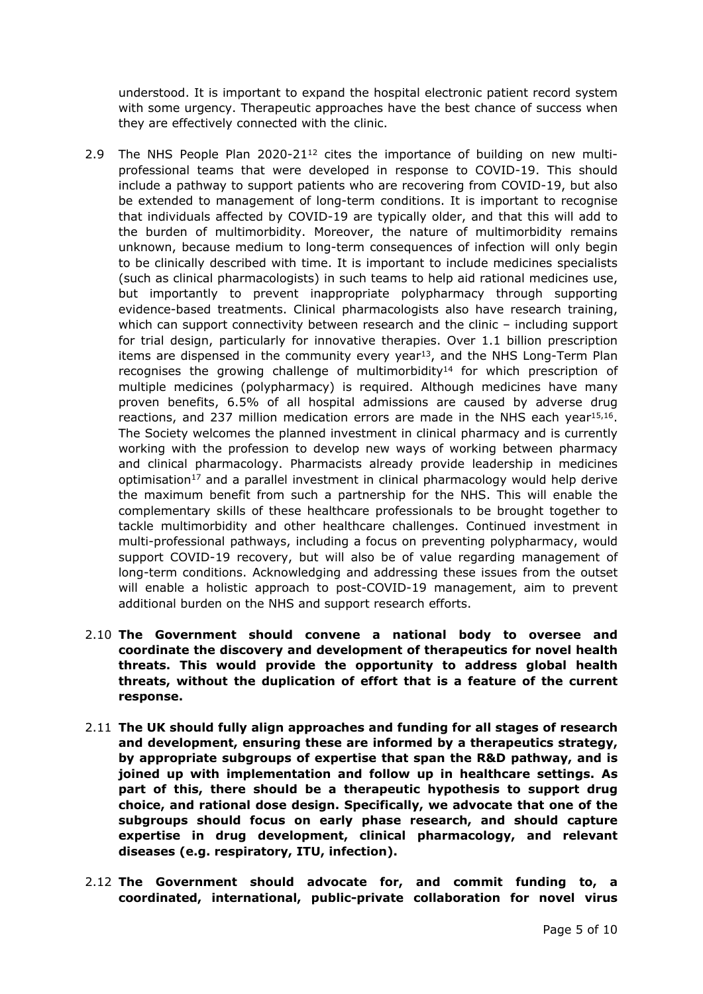understood. It is important to expand the hospital electronic patient record system with some urgency. Therapeutic approaches have the best chance of success when they are effectively connected with the clinic.

- 2.9 The NHS People Plan  $2020-21^{12}$  cites the importance of building on new multiprofessional teams that were developed in response to COVID-19. This should include a pathway to support patients who are recovering from COVID-19, but also be extended to management of long-term conditions. It is important to recognise that individuals affected by COVID-19 are typically older, and that this will add to the burden of multimorbidity. Moreover, the nature of multimorbidity remains unknown, because medium to long-term consequences of infection will only begin to be clinically described with time. It is important to include medicines specialists (such as clinical pharmacologists) in such teams to help aid rational medicines use, but importantly to prevent inappropriate polypharmacy through supporting evidence-based treatments. Clinical pharmacologists also have research training, which can support connectivity between research and the clinic – including support for trial design, particularly for innovative therapies. Over 1.1 billion prescription items are dispensed in the community every year<sup>13</sup>, and the NHS Long-Term Plan recognises the growing challenge of multimorbidity<sup>14</sup> for which prescription of multiple medicines (polypharmacy) is required. Although medicines have many proven benefits, 6.5% of all hospital admissions are caused by adverse drug reactions, and 237 million medication errors are made in the NHS each year $15,16$ . The Society welcomes the planned investment in clinical pharmacy and is currently working with the profession to develop new ways of working between pharmacy and clinical pharmacology. Pharmacists already provide leadership in medicines optimisation<sup>17</sup> and a parallel investment in clinical pharmacology would help derive the maximum benefit from such a partnership for the NHS. This will enable the complementary skills of these healthcare professionals to be brought together to tackle multimorbidity and other healthcare challenges. Continued investment in multi-professional pathways, including a focus on preventing polypharmacy, would support COVID-19 recovery, but will also be of value regarding management of long-term conditions. Acknowledging and addressing these issues from the outset will enable a holistic approach to post-COVID-19 management, aim to prevent additional burden on the NHS and support research efforts.
- 2.10 **The Government should convene a national body to oversee and coordinate the discovery and development of therapeutics for novel health threats. This would provide the opportunity to address global health threats, without the duplication of effort that is a feature of the current response.**
- 2.11 **The UK should fully align approaches and funding for all stages of research and development, ensuring these are informed by a therapeutics strategy, by appropriate subgroups of expertise that span the R&D pathway, and is joined up with implementation and follow up in healthcare settings. As part of this, there should be a therapeutic hypothesis to support drug choice, and rational dose design. Specifically, we advocate that one of the subgroups should focus on early phase research, and should capture expertise in drug development, clinical pharmacology, and relevant diseases (e.g. respiratory, ITU, infection).**
- 2.12 **The Government should advocate for, and commit funding to, a coordinated, international, public-private collaboration for novel virus**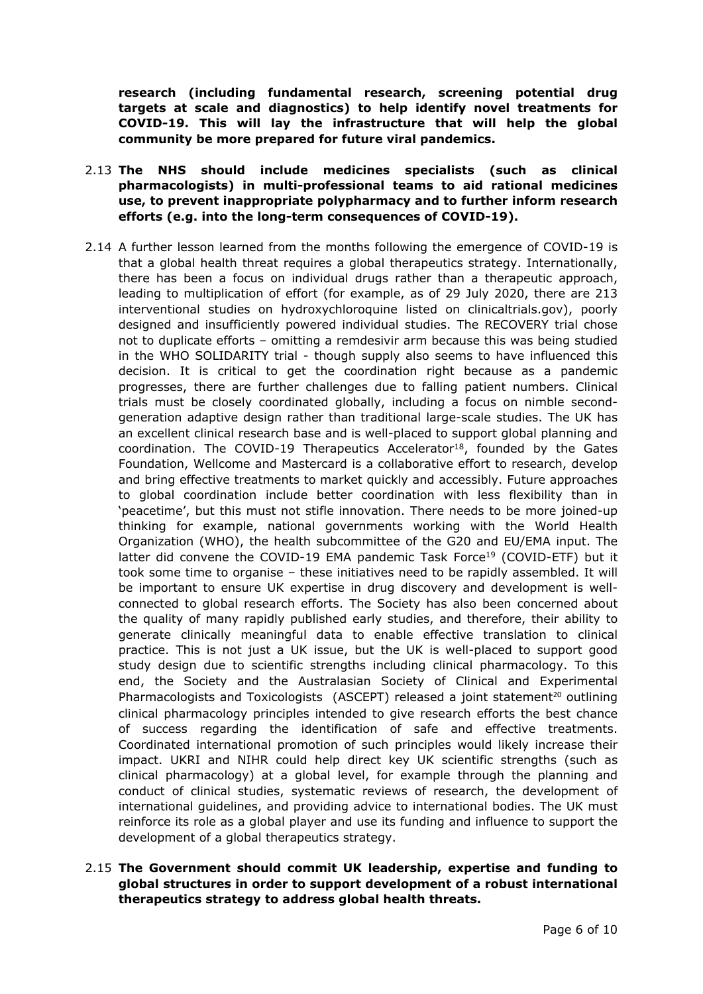**research (including fundamental research, screening potential drug targets at scale and diagnostics) to help identify novel treatments for COVID-19. This will lay the infrastructure that will help the global community be more prepared for future viral pandemics.**

- 2.13 **The NHS should include medicines specialists (such as clinical pharmacologists) in multi-professional teams to aid rational medicines use, to prevent inappropriate polypharmacy and to further inform research efforts (e.g. into the long-term consequences of COVID-19).**
- 2.14 A further lesson learned from the months following the emergence of COVID-19 is that a global health threat requires a global therapeutics strategy. Internationally, there has been a focus on individual drugs rather than a therapeutic approach, leading to multiplication of effort (for example, as of 29 July 2020, there are 213 interventional studies on hydroxychloroquine listed on clinicaltrials.gov), poorly designed and insufficiently powered individual studies. The RECOVERY trial chose not to duplicate efforts – omitting a remdesivir arm because this was being studied in the WHO SOLIDARITY trial - though supply also seems to have influenced this decision. It is critical to get the coordination right because as a pandemic progresses, there are further challenges due to falling patient numbers. Clinical trials must be closely coordinated globally, including a focus on nimble secondgeneration adaptive design rather than traditional large-scale studies. The UK has an excellent clinical research base and is well-placed to support global planning and coordination. The COVID-19 Therapeutics Accelerator<sup>18</sup>, founded by the Gates Foundation, Wellcome and Mastercard is a collaborative effort to research, develop and bring effective treatments to market quickly and accessibly. Future approaches to global coordination include better coordination with less flexibility than in 'peacetime', but this must not stifle innovation. There needs to be more joined-up thinking for example, national governments working with the World Health Organization (WHO), the health subcommittee of the G20 and EU/EMA input. The latter did convene the COVID-19 EMA pandemic Task Force<sup>19</sup> (COVID-ETF) but it took some time to organise – these initiatives need to be rapidly assembled. It will be important to ensure UK expertise in drug discovery and development is wellconnected to global research efforts. The Society has also been concerned about the quality of many rapidly published early studies, and therefore, their ability to generate clinically meaningful data to enable effective translation to clinical practice. This is not just a UK issue, but the UK is well-placed to support good study design due to scientific strengths including clinical pharmacology. To this end, the Society and the Australasian Society of Clinical and Experimental Pharmacologists and Toxicologists (ASCEPT) released a joint statement<sup>20</sup> outlining clinical pharmacology principles intended to give research efforts the best chance of success regarding the identification of safe and effective treatments. Coordinated international promotion of such principles would likely increase their impact. UKRI and NIHR could help direct key UK scientific strengths (such as clinical pharmacology) at a global level, for example through the planning and conduct of clinical studies, systematic reviews of research, the development of international guidelines, and providing advice to international bodies. The UK must reinforce its role as a global player and use its funding and influence to support the development of a global therapeutics strategy.
- 2.15 **The Government should commit UK leadership, expertise and funding to global structures in order to support development of a robust international therapeutics strategy to address global health threats.**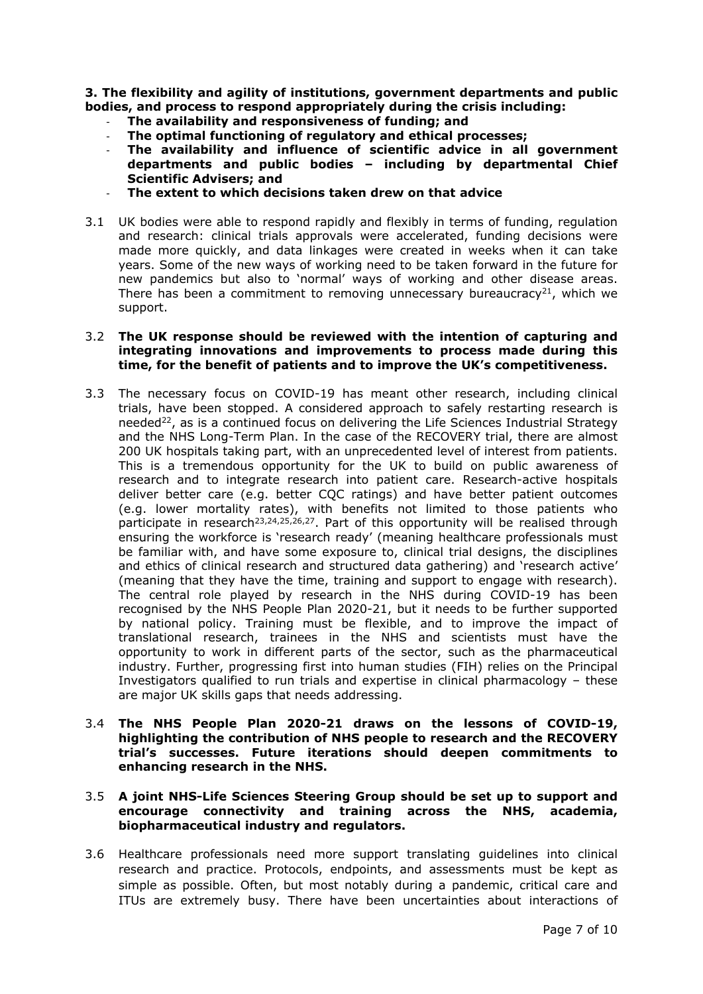**3. The flexibility and agility of institutions, government departments and public bodies, and process to respond appropriately during the crisis including:**

- **The availability and responsiveness of funding; and**
- **The optimal functioning of regulatory and ethical processes;**
- **The availability and influence of scientific advice in all government departments and public bodies – including by departmental Chief Scientific Advisers; and**
- **The extent to which decisions taken drew on that advice**
- 3.1 UK bodies were able to respond rapidly and flexibly in terms of funding, regulation and research: clinical trials approvals were accelerated, funding decisions were made more quickly, and data linkages were created in weeks when it can take years. Some of the new ways of working need to be taken forward in the future for new pandemics but also to 'normal' ways of working and other disease areas. There has been a commitment to removing unnecessary bureaucracy<sup>21</sup>, which we support.

#### 3.2 **The UK response should be reviewed with the intention of capturing and integrating innovations and improvements to process made during this time, for the benefit of patients and to improve the UK's competitiveness.**

- 3.3 The necessary focus on COVID-19 has meant other research, including clinical trials, have been stopped. A considered approach to safely restarting research is needed<sup>22</sup>, as is a continued focus on delivering the Life Sciences Industrial Strategy and the NHS Long-Term Plan. In the case of the RECOVERY trial, there are almost 200 UK hospitals taking part, with an unprecedented level of interest from patients. This is a tremendous opportunity for the UK to build on public awareness of research and to integrate research into patient care. Research-active hospitals deliver better care (e.g. better CQC ratings) and have better patient outcomes (e.g. lower mortality rates), with benefits not limited to those patients who participate in research<sup>23,24,25,26,27</sup>. Part of this opportunity will be realised through ensuring the workforce is 'research ready' (meaning healthcare professionals must be familiar with, and have some exposure to, clinical trial designs, the disciplines and ethics of clinical research and structured data gathering) and 'research active' (meaning that they have the time, training and support to engage with research). The central role played by research in the NHS during COVID-19 has been recognised by the NHS People Plan 2020-21, but it needs to be further supported by national policy. Training must be flexible, and to improve the impact of translational research, trainees in the NHS and scientists must have the opportunity to work in different parts of the sector, such as the pharmaceutical industry. Further, progressing first into human studies (FIH) relies on the Principal Investigators qualified to run trials and expertise in clinical pharmacology – these are major UK skills gaps that needs addressing.
- 3.4 **The NHS People Plan 2020-21 draws on the lessons of COVID-19, highlighting the contribution of NHS people to research and the RECOVERY trial's successes. Future iterations should deepen commitments to enhancing research in the NHS.**

# 3.5 **A joint NHS-Life Sciences Steering Group should be set up to support and encourage connectivity and training across the NHS, academia, biopharmaceutical industry and regulators.**

3.6 Healthcare professionals need more support translating guidelines into clinical research and practice. Protocols, endpoints, and assessments must be kept as simple as possible. Often, but most notably during a pandemic, critical care and ITUs are extremely busy. There have been uncertainties about interactions of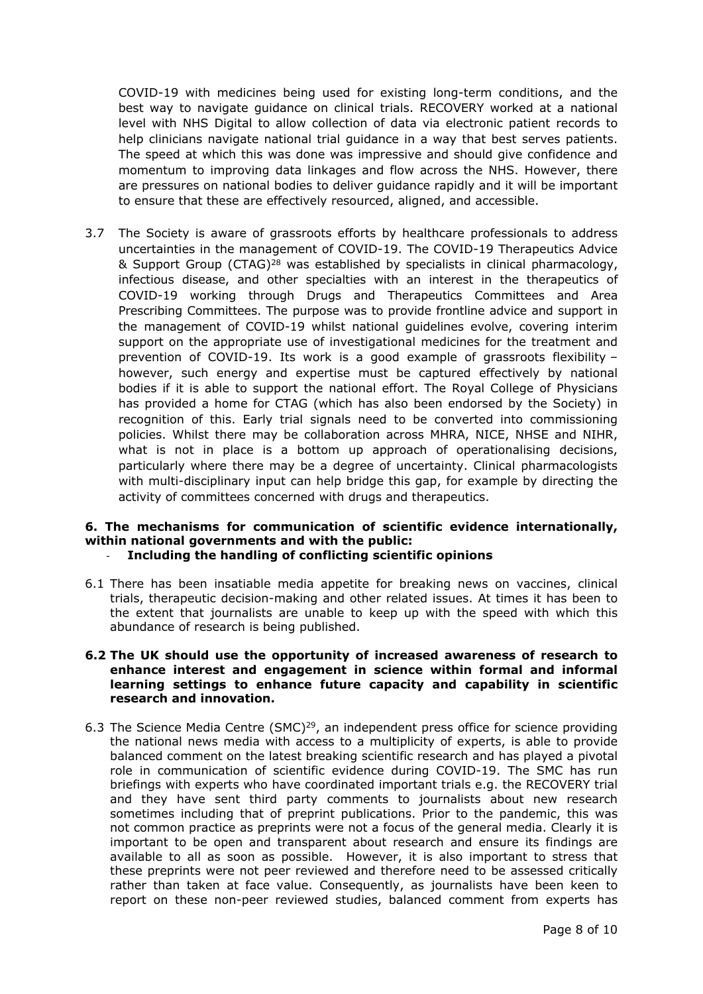COVID-19 with medicines being used for existing long-term conditions, and the best way to navigate guidance on clinical trials. RECOVERY worked at a national level with NHS Digital to allow collection of data via electronic patient records to help clinicians navigate national trial guidance in a way that best serves patients. The speed at which this was done was impressive and should give confidence and momentum to improving data linkages and flow across the NHS. However, there are pressures on national bodies to deliver guidance rapidly and it will be important to ensure that these are effectively resourced, aligned, and accessible.

3.7 The Society is aware of grassroots efforts by healthcare professionals to address uncertainties in the management of COVID-19. The COVID-19 Therapeutics Advice & Support Group (CTAG)<sup>28</sup> was established by specialists in clinical pharmacology, infectious disease, and other specialties with an interest in the therapeutics of COVID-19 working through Drugs and Therapeutics Committees and Area Prescribing Committees. The purpose was to provide frontline advice and support in the management of COVID-19 whilst national guidelines evolve, covering interim support on the appropriate use of investigational medicines for the treatment and prevention of COVID-19. Its work is a good example of grassroots flexibility – however, such energy and expertise must be captured effectively by national bodies if it is able to support the national effort. The Royal College of Physicians has provided a home for CTAG (which has also been endorsed by the Society) in recognition of this. Early trial signals need to be converted into commissioning policies. Whilst there may be collaboration across MHRA, NICE, NHSE and NIHR, what is not in place is a bottom up approach of operationalising decisions, particularly where there may be a degree of uncertainty. Clinical pharmacologists with multi-disciplinary input can help bridge this gap, for example by directing the activity of committees concerned with drugs and therapeutics.

## **6. The mechanisms for communication of scientific evidence internationally, within national governments and with the public:** - **Including the handling of conflicting scientific opinions**

6.1 There has been insatiable media appetite for breaking news on vaccines, clinical trials, therapeutic decision-making and other related issues. At times it has been to the extent that journalists are unable to keep up with the speed with which this abundance of research is being published.

#### **6.2 The UK should use the opportunity of increased awareness of research to enhance interest and engagement in science within formal and informal learning settings to enhance future capacity and capability in scientific research and innovation.**

6.3 The Science Media Centre (SMC)<sup>29</sup>, an independent press office for science providing the national news media with access to a multiplicity of experts, is able to provide balanced comment on the latest breaking scientific research and has played a pivotal role in communication of scientific evidence during COVID-19. The SMC has run briefings with experts who have coordinated important trials e.g. the RECOVERY trial and they have sent third party comments to journalists about new research sometimes including that of preprint publications. Prior to the pandemic, this was not common practice as preprints were not a focus of the general media. Clearly it is important to be open and transparent about research and ensure its findings are available to all as soon as possible. However, it is also important to stress that these preprints were not peer reviewed and therefore need to be assessed critically rather than taken at face value. Consequently, as journalists have been keen to report on these non-peer reviewed studies, balanced comment from experts has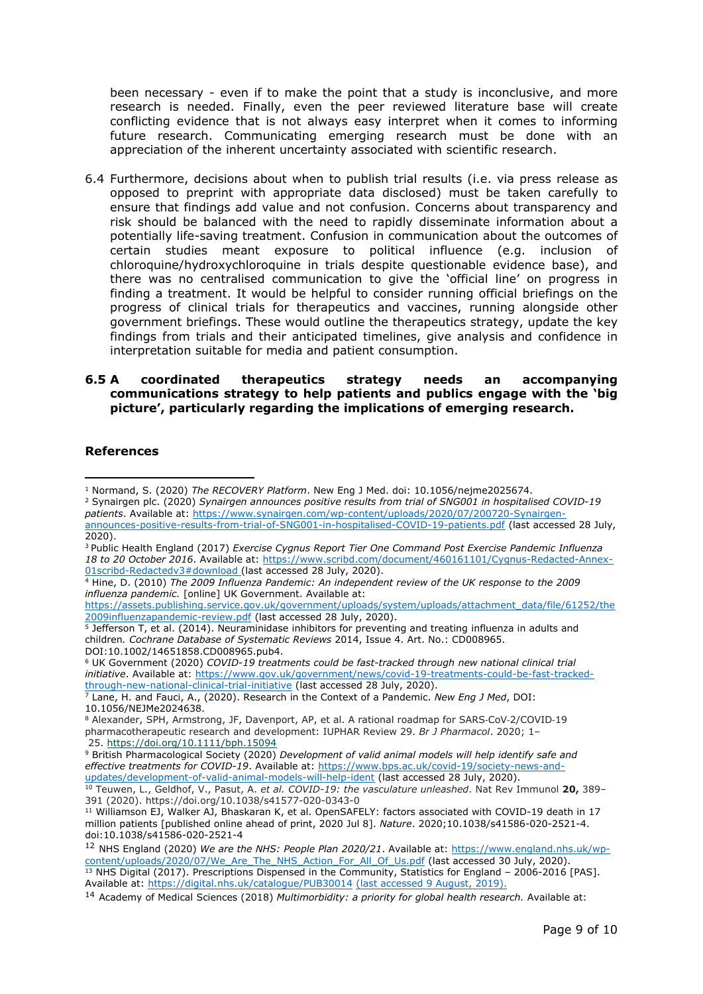been necessary - even if to make the point that a study is inconclusive, and more research is needed. Finally, even the peer reviewed literature base will create conflicting evidence that is not always easy interpret when it comes to informing future research. Communicating emerging research must be done with an appreciation of the inherent uncertainty associated with scientific research.

6.4 Furthermore, decisions about when to publish trial results (i.e. via press release as opposed to preprint with appropriate data disclosed) must be taken carefully to ensure that findings add value and not confusion. Concerns about transparency and risk should be balanced with the need to rapidly disseminate information about a potentially life-saving treatment. Confusion in communication about the outcomes of certain studies meant exposure to political influence (e.g. inclusion of chloroquine/hydroxychloroquine in trials despite questionable evidence base), and there was no centralised communication to give the 'official line' on progress in finding a treatment. It would be helpful to consider running official briefings on the progress of clinical trials for therapeutics and vaccines, running alongside other government briefings. These would outline the therapeutics strategy, update the key findings from trials and their anticipated timelines, give analysis and confidence in interpretation suitable for media and patient consumption.

#### **6.5 A coordinated therapeutics strategy needs an accompanying communications strategy to help patients and publics engage with the 'big picture', particularly regarding the implications of emerging research.**

#### **References**

[announces-positive-results-from-trial-of-SNG001-in-hospitalised-COVID-19-patients.pdf](https://www.synairgen.com/wp-content/uploads/2020/07/200720-Synairgen-announces-positive-results-from-trial-of-SNG001-in-hospitalised-COVID-19-patients.pdf) (last accessed 28 July, 2020).

[https://assets.publishing.service.gov.uk/government/uploads/system/uploads/attachment\\_data/file/61252/the](https://assets.publishing.service.gov.uk/government/uploads/system/uploads/attachment_data/file/61252/the2009influenzapandemic-review.pdf) [2009influenzapandemic-review.pdf](https://assets.publishing.service.gov.uk/government/uploads/system/uploads/attachment_data/file/61252/the2009influenzapandemic-review.pdf) (last accessed 28 July, 2020).

<sup>5</sup> Jefferson T, et al. (2014). Neuraminidase inhibitors for preventing and treating influenza in adults and children*. Cochrane Database of Systematic Reviews* 2014, Issue 4. Art. No.: CD008965. DOI:10.1002/14651858.CD008965.pub4.

<sup>6</sup> UK Government (2020) *COVID-19 treatments could be fast-tracked through new national clinical trial initiative*. Available at: [https://www.gov.uk/government/news/covid-19-treatments-could-be-fast-tracked](https://www.gov.uk/government/news/covid-19-treatments-could-be-fast-tracked-through-new-national-clinical-trial-initiative)[through-new-national-clinical-trial-initiative](https://www.gov.uk/government/news/covid-19-treatments-could-be-fast-tracked-through-new-national-clinical-trial-initiative) (last accessed 28 July, 2020).

<sup>7</sup> Lane, H. and Fauci, A., (2020). Research in the Context of a Pandemic. *New Eng J Med*, DOI: 10.1056/NEJMe2024638.

<sup>9</sup> British Pharmacological Society (2020) *Development of valid animal models will help identify safe and effective treatments for COVID-19*. Available at: [https://www.bps.ac.uk/covid-19/society-news-and](https://www.bps.ac.uk/covid-19/society-news-and-updates/development-of-valid-animal-models-will-help-ident)[updates/development-of-valid-animal-models-will-help-ident](https://www.bps.ac.uk/covid-19/society-news-and-updates/development-of-valid-animal-models-will-help-ident) (last accessed 28 July, 2020).

<sup>1</sup> Normand, S. (2020) *The RECOVERY Platform*. New Eng J Med. doi: 10.1056/nejme2025674.

<sup>2</sup> Synairgen plc. (2020) *Synairgen announces positive results from trial of SNG001 in hospitalised COVID-19 patients*. Available at: [https://www.synairgen.com/wp-content/uploads/2020/07/200720-Synairgen-](https://www.synairgen.com/wp-content/uploads/2020/07/200720-Synairgen-announces-positive-results-from-trial-of-SNG001-in-hospitalised-COVID-19-patients.pdf)

<sup>3</sup> Public Health England (2017) *Exercise Cygnus Report Tier One Command Post Exercise Pandemic Influenza 18 to 20 October 2016*. Available at: [https://www.scribd.com/document/460161101/Cygnus-Redacted-Annex-](https://www.scribd.com/document/460161101/Cygnus-Redacted-Annex-01scribd-Redactedv3#download)[01scribd-Redactedv3#download](https://www.scribd.com/document/460161101/Cygnus-Redacted-Annex-01scribd-Redactedv3#download) (last accessed 28 July, 2020).

<sup>4</sup> Hine, D. (2010) *The 2009 Influenza Pandemic: An independent review of the UK response to the 2009 influenza pandemic.* [online] UK Government. Available at:

<sup>8</sup> Alexander, SPH, Armstrong, JF, Davenport, AP, et al. A rational roadmap for SARS‐CoV‐2/COVID‐19 pharmacotherapeutic research and development: IUPHAR Review 29. *Br J Pharmacol*. 2020; 1– 25. <https://doi.org/10.1111/bph.15094>

<sup>10</sup> Teuwen, L., Geldhof, V., Pasut, A. *et al. COVID-19: the vasculature unleashed*. Nat Rev Immunol **20,** 389– 391 (2020). https://doi.org/10.1038/s41577-020-0343-0

<sup>11</sup> Williamson EJ, Walker AJ, Bhaskaran K, et al. OpenSAFELY: factors associated with COVID-19 death in 17 million patients [published online ahead of print, 2020 Jul 8]. *Nature*. 2020;10.1038/s41586-020-2521-4. doi:10.1038/s41586-020-2521-4

<sup>12</sup> NHS England (2020) *We are the NHS: People Plan 2020/21*. Available at: [https://www.england.nhs.uk/wp](https://www.england.nhs.uk/wp-content/uploads/2020/07/We_Are_The_NHS_Action_For_All_Of_Us.pdf)content/uploads/2020/07/We Are The NHS Action For All Of Us.pdf (last accessed 30 July, 2020). <sup>13</sup> NHS Digital (2017). Prescriptions Dispensed in the Community, Statistics for England – 2006-2016 [PAS]. Available at: <https://digital.nhs.uk/catalogue/PUB30014> (last accessed 9 August, 2019).

<sup>14</sup> Academy of Medical Sciences (2018) *Multimorbidity: a priority for global health research.* Available at: